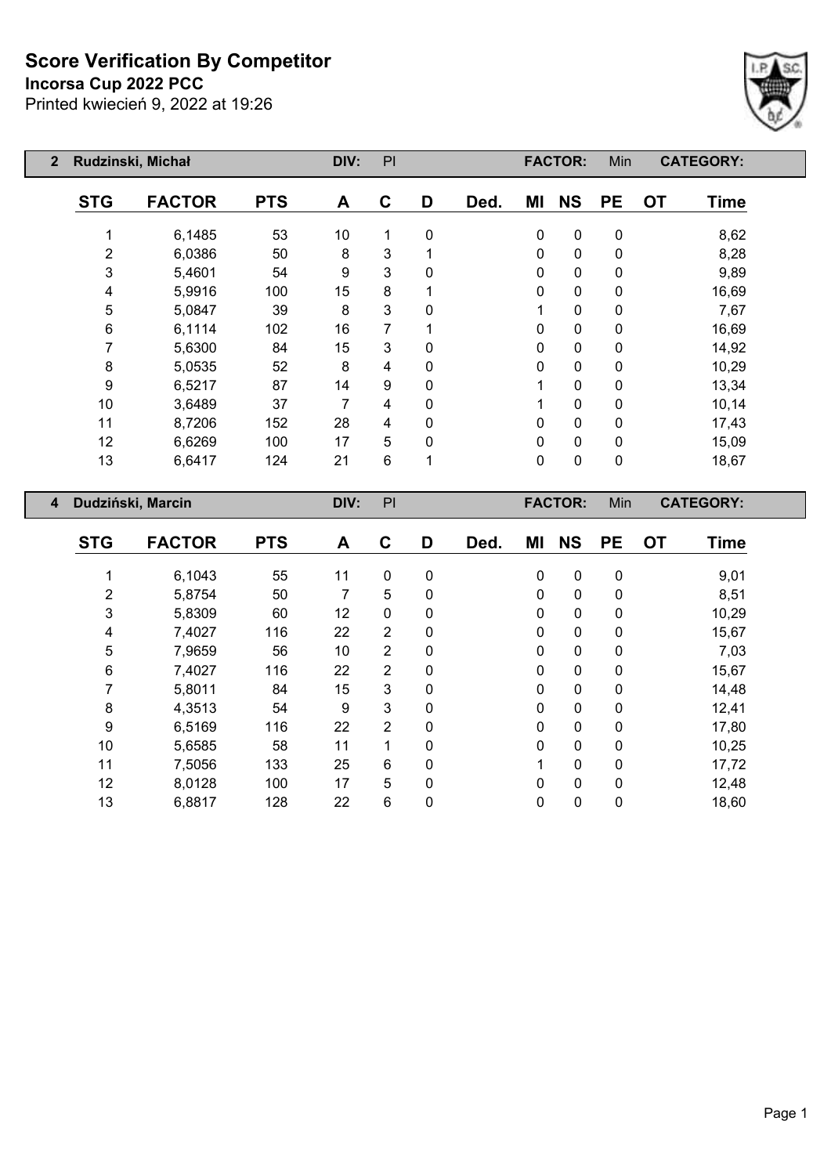#### **Incorsa Cup 2022 PCC**



| $\mathbf{2}$       | Rudzinski, Michał   |                   |            | DIV: | PI       |          |             |             | <b>FACTOR:</b> | Min       |           | <b>CATEGORY:</b> |
|--------------------|---------------------|-------------------|------------|------|----------|----------|-------------|-------------|----------------|-----------|-----------|------------------|
|                    | <b>STG</b>          | <b>FACTOR</b>     | <b>PTS</b> | A    | C        | D        | Ded.        | ΜI          | <b>NS</b>      | <b>PE</b> | <b>OT</b> | <b>Time</b>      |
|                    |                     | 6,1485            | 53         | 10   |          | 0        |             | 0           | $\pmb{0}$      | 0         |           | 8,62             |
|                    | $\overline{2}$      | 6,0386            | 50         | 8    | 3        |          |             | $\Omega$    | 0              | 0         |           | 8,28             |
|                    | 3                   | 5,4601            | 54         | 9    | 3        | $\Omega$ |             | 0           | $\mathbf 0$    | 0         |           | 9,89             |
|                    | 4                   | 5,9916            | 100        | 15   | 8        |          |             | 0           | $\mathbf 0$    | 0         |           | 16,69            |
|                    | 5<br>39<br>5,0847   |                   |            |      | 3        | $\Omega$ |             |             | $\mathbf 0$    | 0         |           | 7,67             |
| 6<br>6,1114<br>102 |                     | 16                | 7          |      |          | 0        | $\mathbf 0$ | 0           |                | 16,69     |           |                  |
|                    | 7                   | 5,6300            | 84         | 15   | 3        | 0        |             | 0           | $\mathbf 0$    | 0         |           | 14,92            |
|                    | 8                   | 5,0535            | 52         | 8    | 4        | 0        |             | 0           | 0              | 0         |           | 10,29            |
|                    | 9                   | 6,5217            | 87         | 14   | 9        | 0        |             |             | $\mathbf 0$    | 0         |           | 13,34            |
|                    | 10                  | 3,6489            | 37         | 7    | 4        | 0        |             |             | $\mathbf 0$    | 0         |           | 10,14            |
|                    | 11                  | 8,7206            | 152        | 28   | 4        | 0        |             | 0           | $\mathbf 0$    | 0         |           | 17,43            |
|                    | 12<br>100<br>6,6269 |                   | 17         | 5    | $\Omega$ |          | 0           | $\mathbf 0$ | 0              |           | 15,09     |                  |
|                    | 13                  | 21                | 6          | 1    |          | 0        | $\mathbf 0$ | 0           |                | 18,67     |           |                  |
| $\overline{4}$     |                     | Dudziński, Marcin |            | DIV: | PI       |          |             |             | <b>FACTOR:</b> | Min       |           | <b>CATEGORY:</b> |

| <b>STG</b>     | <b>FACTOR</b> | <b>PTS</b> | A  | C              | D            | Ded. | ΜI          | <b>NS</b>   | <b>PE</b> | <b>OT</b> | <b>Time</b> |
|----------------|---------------|------------|----|----------------|--------------|------|-------------|-------------|-----------|-----------|-------------|
|                | 6,1043        | 55         | 11 | $\mathbf 0$    | $\mathbf{0}$ |      | $\mathbf 0$ | 0           | 0         |           | 9,01        |
| $\overline{2}$ | 5,8754        | 50         | 7  | 5              | $\mathbf 0$  |      | $\mathbf 0$ | $\mathbf 0$ | 0         |           | 8,51        |
| 3              | 5,8309        | 60         | 12 | $\pmb{0}$      | $\mathbf 0$  |      | 0           | $\mathbf 0$ | 0         |           | 10,29       |
| 4              | 7,4027        | 116        | 22 | $\overline{2}$ | $\mathbf{0}$ |      | $\mathbf 0$ | $\mathbf 0$ | 0         |           | 15,67       |
| 5              | 7,9659        | 56         | 10 | $\overline{2}$ | $\mathbf 0$  |      | $\mathbf 0$ | $\mathbf 0$ | 0         |           | 7,03        |
| 6              | 7,4027        | 116        | 22 | 2              | $\mathbf 0$  |      | 0           | $\mathbf 0$ | 0         |           | 15,67       |
|                | 5,8011        | 84         | 15 | 3              | $\mathbf 0$  |      | $\mathbf 0$ | $\mathbf 0$ | 0         |           | 14,48       |
| 8              | 4,3513        | 54         | 9  | 3              | $\mathbf 0$  |      | 0           | $\mathbf 0$ | 0         |           | 12,41       |
| 9              | 6,5169        | 116        | 22 | $\overline{2}$ | $\mathbf{0}$ |      | $\mathbf 0$ | $\mathbf 0$ | 0         |           | 17,80       |
| 10             | 5,6585        | 58         | 11 | 1              | $\Omega$     |      | $\mathbf 0$ | $\mathbf 0$ | 0         |           | 10,25       |
| 11             | 7,5056        | 133        | 25 | 6              | $\mathbf{0}$ |      |             | $\mathbf 0$ | 0         |           | 17,72       |
| 12             | 8,0128        | 100        | 17 | 5              | $\mathbf{0}$ |      | 0           | $\mathbf 0$ | 0         |           | 12,48       |
| 13             | 6,8817        | 128        | 22 | 6              | $\mathbf 0$  |      | 0           | $\mathbf 0$ | 0         |           | 18,60       |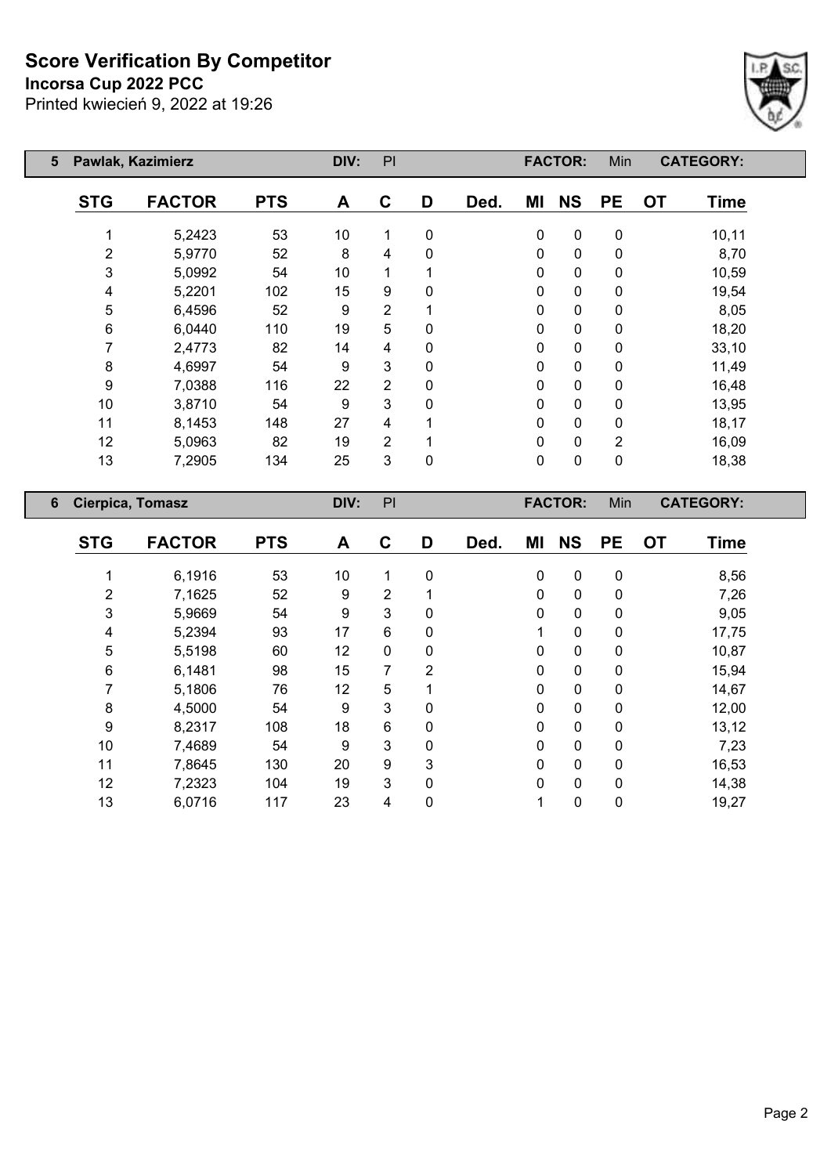#### **Incorsa Cup 2022 PCC**



| Pawlak, Kazimierz<br>5 |                |               |            | DIV: | PI             |          |      |          | <b>FACTOR:</b> | Min            |           | <b>CATEGORY:</b> |
|------------------------|----------------|---------------|------------|------|----------------|----------|------|----------|----------------|----------------|-----------|------------------|
|                        | <b>STG</b>     | <b>FACTOR</b> | <b>PTS</b> | A    | C              | D        | Ded. | ΜI       | <b>NS</b>      | <b>PE</b>      | <b>OT</b> | <b>Time</b>      |
|                        |                | 5,2423        | 53         | 10   | 1              | 0        |      | 0        | $\mathbf 0$    | 0              |           | 10, 11           |
|                        | $\overline{2}$ | 5,9770        | 52         | 8    | 4              | 0        |      | 0        | $\mathbf 0$    | 0              |           | 8,70             |
|                        | 3              | 5,0992        | 54         | 10   |                |          |      | 0        | $\mathbf{0}$   | 0              |           | 10,59            |
|                        | 4              | 5,2201        | 102        | 15   | 9              | $\Omega$ |      | 0        | $\mathbf 0$    | 0              |           | 19,54            |
|                        | 5              | 6,4596        | 52         | 9    | 2              |          |      | 0        | $\mathbf 0$    | 0              |           | 8,05             |
|                        | 6              | 6,0440        | 110        | 19   | 5              | 0        |      | 0        | $\mathbf 0$    | 0              |           | 18,20            |
|                        | 7              | 2,4773        | 82         | 14   | 4              | 0        |      | 0        | $\mathbf 0$    | 0              |           | 33,10            |
|                        | 8              | 4,6997        | 54         | 9    | 3              | $\Omega$ |      | 0        | $\mathbf 0$    | 0              |           | 11,49            |
|                        | 9              | 7,0388        | 116        | 22   | $\overline{2}$ | 0        |      | 0        | $\mathbf 0$    | 0              |           | 16,48            |
|                        | 10             | 3,8710        | 54         | 9    | 3              | 0        |      | 0        | $\mathbf 0$    | 0              |           | 13,95            |
|                        | 11             | 8,1453        | 148        | 27   | 4              |          |      | 0        | $\mathbf 0$    | 0              |           | 18,17            |
|                        | 12             | 5,0963        | 82         | 19   | $\overline{2}$ | 1        |      | $\Omega$ | $\mathbf 0$    | $\overline{2}$ |           | 16,09            |
|                        | 13             | 7,2905        | 134        | 25   | 3              | 0        |      | 0        | $\pmb{0}$      | 0              |           | 18,38            |

| 6 | Cierpica, Tomasz |               |            | PI<br>DIV: |                |                |      |    | <b>FACTOR:</b> | Min<br><b>CATEGORY:</b> |           |             |  |
|---|------------------|---------------|------------|------------|----------------|----------------|------|----|----------------|-------------------------|-----------|-------------|--|
|   | <b>STG</b>       | <b>FACTOR</b> | <b>PTS</b> | A          | C              | D              | Ded. | ΜI | <b>NS</b>      | <b>PE</b>               | <b>OT</b> | <b>Time</b> |  |
|   |                  | 6,1916        | 53         | 10         | 1              | 0              |      | 0  | $\mathbf 0$    | $\mathbf 0$             |           | 8,56        |  |
|   | 2                | 7,1625        | 52         | 9          | $\overline{2}$ |                |      | 0  | $\mathbf 0$    | 0                       |           | 7,26        |  |
|   | 3                | 5,9669        | 54         | 9          | 3              | 0              |      | 0  | $\mathbf 0$    | 0                       |           | 9,05        |  |
|   | 4                | 5,2394        | 93         | 17         | 6              | 0              |      |    | 0              | 0                       |           | 17,75       |  |
|   | 5                | 5,5198        | 60         | 12         | 0              | 0              |      | 0  | 0              | 0                       |           | 10,87       |  |
|   | 6                | 6,1481        | 98         | 15         | 7              | $\overline{2}$ |      | 0  | 0              | $\mathbf 0$             |           | 15,94       |  |
|   |                  | 5,1806        | 76         | 12         | 5              |                |      | 0  | 0              | 0                       |           | 14,67       |  |
|   | 8                | 4,5000        | 54         | 9          | $\mathbf{3}$   | 0              |      | 0  | $\mathbf 0$    | 0                       |           | 12,00       |  |
|   | 9                | 8,2317        | 108        | 18         | 6              | 0              |      | 0  | 0              | 0                       |           | 13,12       |  |
|   | 10               | 7,4689        | 54         | 9          | 3              | 0              |      | 0  | 0              | 0                       |           | 7,23        |  |
|   | 11               | 7,8645        | 130        | 20         | 9              | 3              |      | 0  | $\mathbf{0}$   | 0                       |           | 16,53       |  |
|   | 12               | 7,2323        | 104        | 19         | 3              | $\mathbf{0}$   |      | 0  | $\mathbf{0}$   | 0                       |           | 14,38       |  |
|   | 13               | 6,0716        | 117        | 23         | 4              | 0              |      |    | 0              | 0                       |           | 19,27       |  |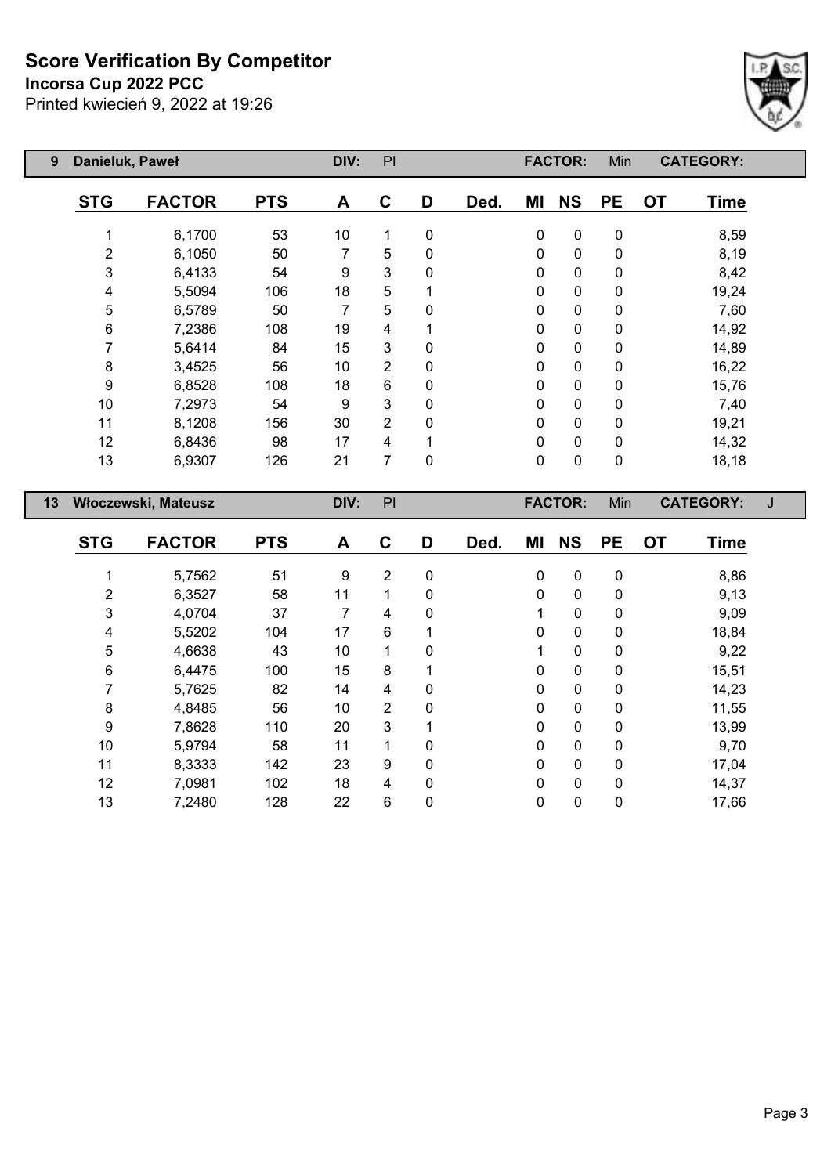**Incorsa Cup 2022 PCC**



| Danieluk, Paweł<br>9 |                |                     | DIV:       | PI   |                |              |      | <b>FACTOR:</b> | Min            | <b>CATEGORY:</b> |                          |   |
|----------------------|----------------|---------------------|------------|------|----------------|--------------|------|----------------|----------------|------------------|--------------------------|---|
|                      | <b>STG</b>     | <b>FACTOR</b>       | <b>PTS</b> | A    | C              | D            | Ded. | ΜI             | <b>NS</b>      | <b>PE</b>        | <b>OT</b><br><b>Time</b> |   |
|                      | 1              | 6,1700              | 53         | 10   | 1              | $\mathbf 0$  |      | $\mathbf 0$    | $\mathbf 0$    | $\pmb{0}$        | 8,59                     |   |
|                      | $\overline{2}$ | 6,1050              | 50         | 7    | 5              | 0            |      | $\mathbf{0}$   | $\pmb{0}$      | $\pmb{0}$        | 8,19                     |   |
|                      | 3              | 6,4133              | 54         | 9    | 3              | 0            |      | $\mathbf{0}$   | $\pmb{0}$      | $\pmb{0}$        | 8,42                     |   |
|                      | 4              | 5,5094              | 106        | 18   | 5              |              |      | $\mathbf 0$    | $\pmb{0}$      | $\pmb{0}$        | 19,24                    |   |
|                      | 5              | 6,5789              | 50         | 7    | 5              | $\mathbf{0}$ |      | $\mathbf{0}$   | $\pmb{0}$      | $\pmb{0}$        | 7,60                     |   |
|                      | 6              | 7,2386              | 108        | 19   | 4              |              |      | $\mathbf{0}$   | $\pmb{0}$      | $\pmb{0}$        | 14,92                    |   |
|                      | 7              | 5,6414              | 84         | 15   | 3              | 0            |      | 0              | $\pmb{0}$      | $\pmb{0}$        | 14,89                    |   |
|                      | 8              | 3,4525              | 56         | 10   | 2              | 0            |      | $\mathbf{0}$   | $\pmb{0}$      | $\pmb{0}$        | 16,22                    |   |
|                      | 9              | 6,8528              | 108        | 18   | 6              | $\Omega$     |      | $\mathbf{0}$   | $\mathbf 0$    | $\pmb{0}$        | 15,76                    |   |
|                      | 10             | 7,2973              | 54         | 9    | 3              | 0            |      | $\mathbf{0}$   | $\mathbf 0$    | $\pmb{0}$        | 7,40                     |   |
|                      | 11             | 8,1208              | 156        | 30   | $\overline{2}$ | 0            |      | $\mathbf 0$    | $\mathbf 0$    | $\pmb{0}$        | 19,21                    |   |
|                      | 12             | 6,8436              | 98         | 17   | 4              |              |      | $\mathbf{0}$   | $\mathbf 0$    | $\mathbf 0$      | 14,32                    |   |
|                      | 13             | 6,9307              | 126        | 21   | 7              | $\mathbf 0$  |      | $\mathbf 0$    | $\pmb{0}$      | $\pmb{0}$        | 18,18                    |   |
| 13                   |                | Włoczewski, Mateusz |            | DIV: | PI             |              |      |                | <b>FACTOR:</b> | Min              | <b>CATEGORY:</b>         | J |
|                      | лтл            | F & ATAR            | RTA.       |      | ⌒              | n            | r.   | .              | <b>LIA</b>     | n –              |                          |   |

| <b>STG</b> | <b>FACTOR</b> | <b>PTS</b> | A  | C              | D            | Ded. | MI           | <b>NS</b>    | <b>PE</b> | <b>OT</b> | <b>Time</b> |
|------------|---------------|------------|----|----------------|--------------|------|--------------|--------------|-----------|-----------|-------------|
|            |               |            |    |                |              |      |              |              |           |           |             |
|            | 5,7562        | 51         | 9  | $\overline{2}$ | 0            |      | 0            | $\mathbf 0$  | 0         |           | 8,86        |
| 2          | 6,3527        | 58         | 11 |                | 0            |      | 0            | 0            | 0         |           | 9,13        |
| 3          | 4,0704        | 37         | 7  | 4              | 0            |      |              | $\mathbf 0$  | 0         |           | 9,09        |
| 4          | 5,5202        | 104        | 17 | 6              |              |      | 0            | $\mathbf 0$  | 0         |           | 18,84       |
| 5          | 4,6638        | 43         | 10 | 1              | 0            |      |              | $\mathbf{0}$ | 0         |           | 9,22        |
| 6          | 6,4475        | 100        | 15 | 8              |              |      | 0            | $\mathbf 0$  | 0         |           | 15,51       |
|            | 5,7625        | 82         | 14 | 4              | $\Omega$     |      | $\Omega$     | $\mathbf{0}$ | 0         |           | 14,23       |
| 8          | 4,8485        | 56         | 10 | $\overline{2}$ | 0            |      | 0            | 0            | 0         |           | 11,55       |
| 9          | 7,8628        | 110        | 20 | 3              | ◢            |      | 0            | $\mathbf{0}$ | 0         |           | 13,99       |
| 10         | 5,9794        | 58         | 11 |                | 0            |      | $\mathbf{0}$ | $\mathbf{0}$ | 0         |           | 9,70        |
| 11         | 8,3333        | 142        | 23 | 9              | 0            |      | 0            | $\mathbf 0$  | 0         |           | 17,04       |
| 12         | 7,0981        | 102        | 18 | 4              | $\mathbf{0}$ |      | 0            | 0            | 0         |           | 14,37       |
| 13         | 7,2480        | 128        | 22 | 6              | 0            |      | 0            | $\mathbf 0$  | 0         |           | 17,66       |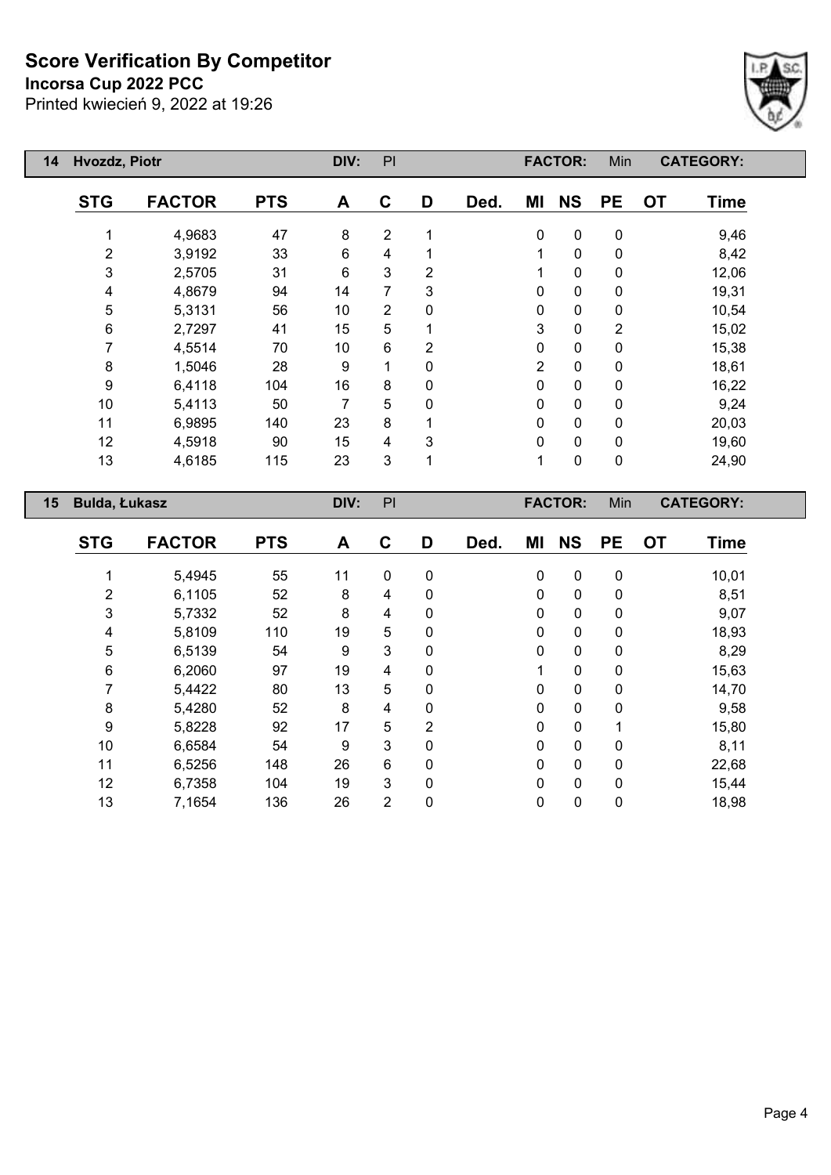**Incorsa Cup 2022 PCC**



| 14 | Hvozdz, Piotr    | DIV:          | PI         |      |                |   | <b>FACTOR:</b> | Min            |                | <b>CATEGORY:</b> |           |                  |
|----|------------------|---------------|------------|------|----------------|---|----------------|----------------|----------------|------------------|-----------|------------------|
|    | <b>STG</b>       | <b>FACTOR</b> | <b>PTS</b> | A    | C              | D | Ded.           | ΜI             | <b>NS</b>      | <b>PE</b>        | <b>OT</b> | <b>Time</b>      |
|    |                  | 4,9683        | 47         | 8    | $\overline{2}$ |   |                | $\mathbf 0$    | $\pmb{0}$      | $\pmb{0}$        |           | 9,46             |
|    | $\overline{2}$   | 3,9192        | 33         | 6    | 4              |   |                | 1              | $\pmb{0}$      | 0                |           | 8,42             |
|    | 3                | 2,5705        | 31         | 6    | 3              | 2 |                | 1              | $\pmb{0}$      | 0                |           | 12,06            |
|    | 4                | 4,8679        | 94         | 14   | 7              | 3 |                | 0              | $\pmb{0}$      | 0                |           | 19,31            |
|    | 5                | 5,3131        | 56         | 10   | 2              | 0 |                | 0              | $\pmb{0}$      | 0                |           | 10,54            |
|    | 6                | 2,7297        | 41         | 15   | 5              |   |                | 3              | $\mathbf 0$    | $\overline{2}$   |           | 15,02            |
|    | 7                | 4,5514        | 70         | 10   | 6              | 2 |                | $\mathbf{0}$   | $\mathbf 0$    | $\mathbf 0$      |           | 15,38            |
|    | 8                | 1,5046        | 28         | 9    | 1              | 0 |                | $\overline{2}$ | $\mathbf 0$    | $\mathbf 0$      |           | 18,61            |
|    | $\boldsymbol{9}$ | 6,4118        | 104        | 16   | 8              | 0 |                | $\mathbf 0$    | $\mathbf 0$    | $\mathbf 0$      |           | 16,22            |
|    | 10               | 5,4113        | 50         | 7    | 5              | 0 |                | $\mathbf{0}$   | $\mathbf 0$    | $\mathbf 0$      |           | 9,24             |
|    | 11               | 6,9895        | 140        | 23   | 8              |   |                | $\mathbf 0$    | $\mathbf 0$    | 0                |           | 20,03            |
|    | 12               | 4,5918        | 90         | 15   | 4              | 3 |                | $\mathbf 0$    | $\mathbf 0$    | 0                |           | 19,60            |
|    | 13               | 4,6185        | 115        | 23   | 3              | 1 |                | 1              | $\pmb{0}$      | $\pmb{0}$        |           | 24,90            |
| 15 | Bulda, Łukasz    |               |            | DIV: | PI             |   |                |                | <b>FACTOR:</b> | Min              |           | <b>CATEGORY:</b> |

|            | <b>FACTOR</b> |            |    | C              |                | Ded. | MI          | <b>NS</b>   | <b>PE</b>    |           |             |
|------------|---------------|------------|----|----------------|----------------|------|-------------|-------------|--------------|-----------|-------------|
| <b>STG</b> |               | <b>PTS</b> | A  |                | D              |      |             |             |              | <b>OT</b> | <b>Time</b> |
|            | 5,4945        | 55         | 11 | $\mathbf 0$    | 0              |      | $\mathbf 0$ | $\mathbf 0$ | $\mathbf 0$  |           | 10,01       |
| 2          | 6,1105        | 52         | 8  | 4              | 0              |      | 0           | 0           | 0            |           | 8,51        |
| 3          | 5,7332        | 52         | 8  | 4              | 0              |      | 0           | 0           | 0            |           | 9,07        |
| 4          | 5,8109        | 110        | 19 | 5              | 0              |      | 0           | $\mathbf 0$ | 0            |           | 18,93       |
| 5          | 6,5139        | 54         | 9  | 3              | $\mathbf{0}$   |      | 0           | $\mathbf 0$ | $\mathbf{0}$ |           | 8,29        |
| 6          | 6,2060        | 97         | 19 | 4              | 0              |      | 1           | $\mathbf 0$ | 0            |           | 15,63       |
|            | 5,4422        | 80         | 13 | 5              | $\mathbf{0}$   |      | 0           | $\mathbf 0$ | 0            |           | 14,70       |
| 8          | 5,4280        | 52         | 8  | 4              | 0              |      | 0           | $\mathbf 0$ | 0            |           | 9,58        |
| 9          | 5,8228        | 92         | 17 | 5              | $\overline{2}$ |      | 0           | $\mathbf 0$ | 1            |           | 15,80       |
| 10         | 6,6584        | 54         | 9  | 3              | $\mathbf{0}$   |      | 0           | $\mathbf 0$ | $\Omega$     |           | 8,11        |
| 11         | 6,5256        | 148        | 26 | 6              | 0              |      | $\mathbf 0$ | $\pmb{0}$   | 0            |           | 22,68       |
| 12         | 6,7358        | 104        | 19 | 3              | $\mathbf{0}$   |      | 0           | $\mathbf 0$ | $\mathbf{0}$ |           | 15,44       |
| 13         | 7,1654        | 136        | 26 | $\overline{2}$ | 0              |      | 0           | 0           | 0            |           | 18,98       |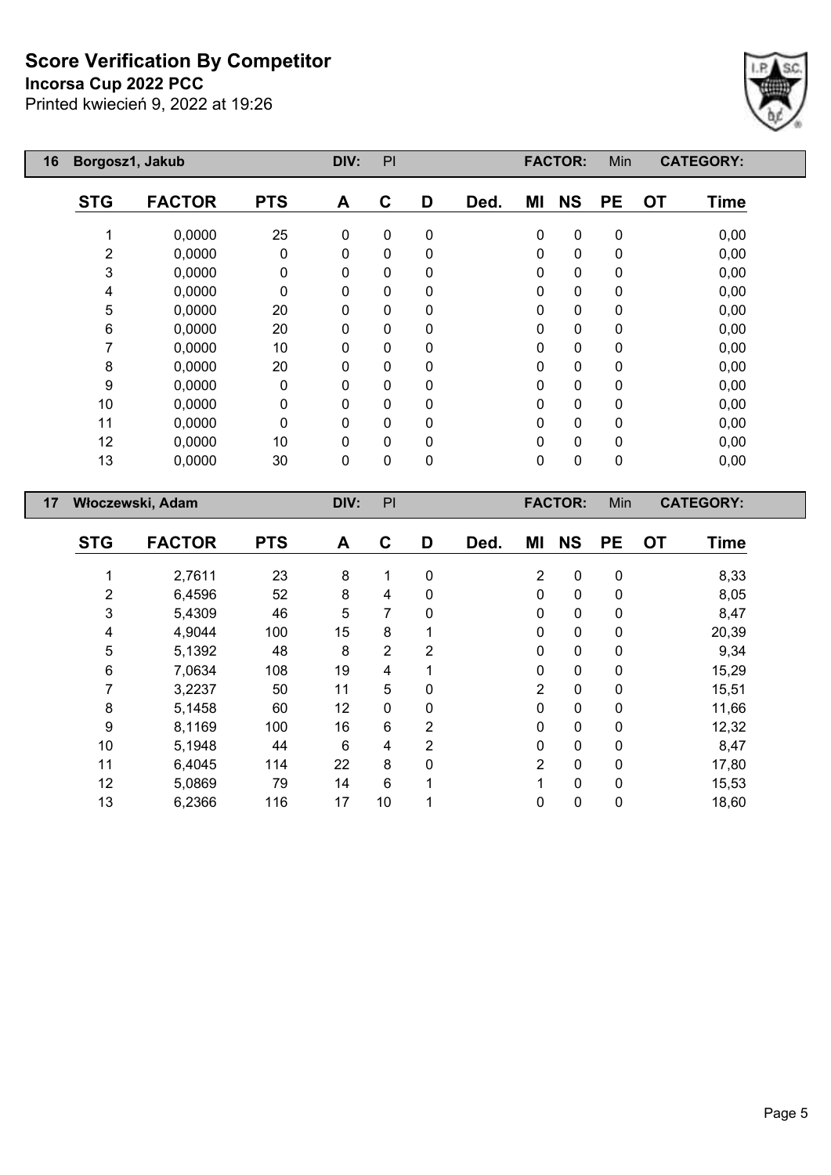## **Incorsa Cup 2022 PCC**



| 16 | Borgosz1, Jakub  |               |              |             | PI           |              |      |             | <b>FACTOR:</b> | Min         | <b>CATEGORY:</b>         |  |
|----|------------------|---------------|--------------|-------------|--------------|--------------|------|-------------|----------------|-------------|--------------------------|--|
|    | <b>STG</b>       | <b>FACTOR</b> | <b>PTS</b>   | A           | $\mathbf{C}$ | D            | Ded. | ΜI          | <b>NS</b>      | <b>PE</b>   | <b>OT</b><br><b>Time</b> |  |
|    |                  | 0,0000        | 25           | $\mathbf 0$ | $\mathbf 0$  | $\mathbf 0$  |      | $\mathbf 0$ | $\mathbf 0$    | $\pmb{0}$   | 0,00                     |  |
|    | 2                | 0,0000        | 0            | 0           | $\mathbf 0$  | 0            |      | 0           | $\mathbf 0$    | $\mathbf 0$ | 0,00                     |  |
|    | 3                | 0,0000        | $\Omega$     | 0           | $\mathbf 0$  | 0            |      | 0           | $\mathbf 0$    | $\mathbf 0$ | 0,00                     |  |
|    | 4                | 0,0000        | 0            | 0           | 0            | 0            |      | 0           | $\mathbf 0$    | 0           | 0,00                     |  |
|    | 5                | 0,0000        | 20           | 0           | 0            | 0            |      | 0           | $\pmb{0}$      | $\pmb{0}$   | 0,00                     |  |
|    | 6                | 0,0000        | 20           | 0           | 0            | 0            |      | 0           | $\mathbf 0$    | 0           | 0,00                     |  |
|    | 7                | 0,0000        | 10           | 0           | 0            | $\mathbf{0}$ |      | 0           | $\mathbf 0$    | 0           | 0,00                     |  |
|    | 8                | 0,0000        | 20           | 0           | $\mathbf 0$  | 0            |      | 0           | $\mathbf 0$    | 0           | 0,00                     |  |
|    | $\boldsymbol{9}$ | 0,0000        | 0            | 0           | $\mathbf 0$  | 0            |      | 0           | $\mathbf 0$    | 0           | 0,00                     |  |
|    | 10               | 0,0000        | 0            | 0           | $\mathbf 0$  | 0            |      | 0           | $\mathbf 0$    | 0           | 0,00                     |  |
|    | 11               | 0,0000        | $\mathbf{0}$ | 0           | 0            | 0            |      | 0           | $\mathbf 0$    | 0           | 0,00                     |  |
|    | 12               | 0,0000        | 10           | 0           | $\mathbf{0}$ | 0            |      | 0           | $\mathbf 0$    | 0           | 0,00                     |  |
|    | 13               | 0,0000        | 30           | 0           | $\pmb{0}$    | $\pmb{0}$    |      | 0           | $\mathbf 0$    | $\mathbf 0$ | 0,00                     |  |
| 17 | Włoczewski, Adam |               |              |             |              |              |      |             | <b>FACTOR:</b> | Min         | <b>CATEGORY:</b>         |  |

| <b>STG</b> | <b>FACTOR</b> | <b>PTS</b> | A  | C              | D | Ded. | ΜI             | <b>NS</b>    | <b>PE</b> | <b>OT</b> | <b>Time</b> |
|------------|---------------|------------|----|----------------|---|------|----------------|--------------|-----------|-----------|-------------|
|            | 2,7611        | 23         | 8  | 1              | 0 |      | $\overline{2}$ | $\mathbf 0$  | 0         |           | 8,33        |
| 2          | 6,4596        | 52         | 8  | 4              | 0 |      | $\Omega$       | $\Omega$     | 0         |           | 8,05        |
| 3          | 5,4309        | 46         | 5  | 7              | 0 |      | $\mathbf{0}$   | 0            | 0         |           | 8,47        |
| 4          | 4,9044        | 100        | 15 | 8              |   |      | $\Omega$       | 0            | 0         |           | 20,39       |
| 5          | 5,1392        | 48         | 8  | 2              | 2 |      | $\mathbf{0}$   | 0            | 0         |           | 9,34        |
| 6          | 7,0634        | 108        | 19 | 4              |   |      | $\Omega$       | $\mathbf{0}$ | 0         |           | 15,29       |
|            | 3,2237        | 50         | 11 | 5              | 0 |      | 2              | $\mathbf{0}$ | 0         |           | 15,51       |
| 8          | 5,1458        | 60         | 12 | $\mathbf 0$    | 0 |      | $\Omega$       | 0            | 0         |           | 11,66       |
| 9          | 8,1169        | 100        | 16 | 6              | 2 |      | $\mathbf{0}$   | $\mathbf{0}$ | 0         |           | 12,32       |
| 10         | 5,1948        | 44         | 6  | 4              | 2 |      | $\mathbf{0}$   | $\mathbf{0}$ | 0         |           | 8,47        |
| 11         | 6,4045        | 114        | 22 | 8              | 0 |      | $\overline{2}$ | $\mathbf{0}$ | 0         |           | 17,80       |
| 12         | 5,0869        | 79         | 14 | $6\phantom{1}$ |   |      |                | $\mathbf{0}$ | 0         |           | 15,53       |
| 13         | 6,2366        | 116        | 17 | 10             |   |      | 0              | 0            | 0         |           | 18,60       |